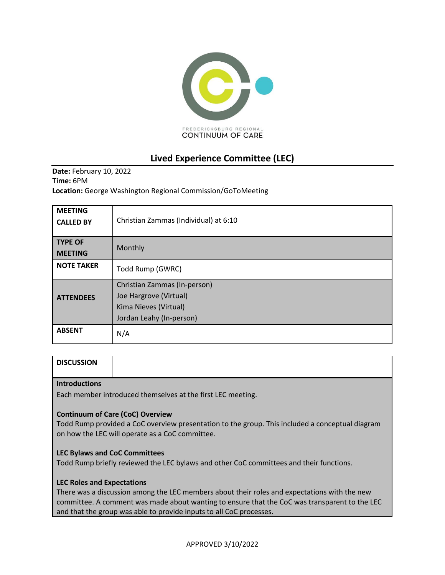

# **Lived Experience Committee (LEC)**

**Date:** February 10, 2022 **Time:** 6PM **Location:** George Washington Regional Commission/GoToMeeting

| <b>MEETING</b><br><b>CALLED BY</b> | Christian Zammas (Individual) at 6:10                                                                       |
|------------------------------------|-------------------------------------------------------------------------------------------------------------|
| <b>TYPE OF</b><br><b>MEETING</b>   | Monthly                                                                                                     |
| <b>NOTE TAKER</b>                  | Todd Rump (GWRC)                                                                                            |
| <b>ATTENDEES</b>                   | Christian Zammas (In-person)<br>Joe Hargrove (Virtual)<br>Kima Nieves (Virtual)<br>Jordan Leahy (In-person) |
| <b>ABSENT</b>                      | N/A                                                                                                         |

| <b>DISCUSSION</b>    |  |
|----------------------|--|
| <b>Introductions</b> |  |

Each member introduced themselves at the first LEC meeting.

## **Continuum of Care (CoC) Overview**

Todd Rump provided a CoC overview presentation to the group. This included a conceptual diagram on how the LEC will operate as a CoC committee.

### **LEC Bylaws and CoC Committees**

Todd Rump briefly reviewed the LEC bylaws and other CoC committees and their functions.

### **LEC Roles and Expectations**

There was a discussion among the LEC members about their roles and expectations with the new committee. A comment was made about wanting to ensure that the CoC was transparent to the LEC and that the group was able to provide inputs to all CoC processes.